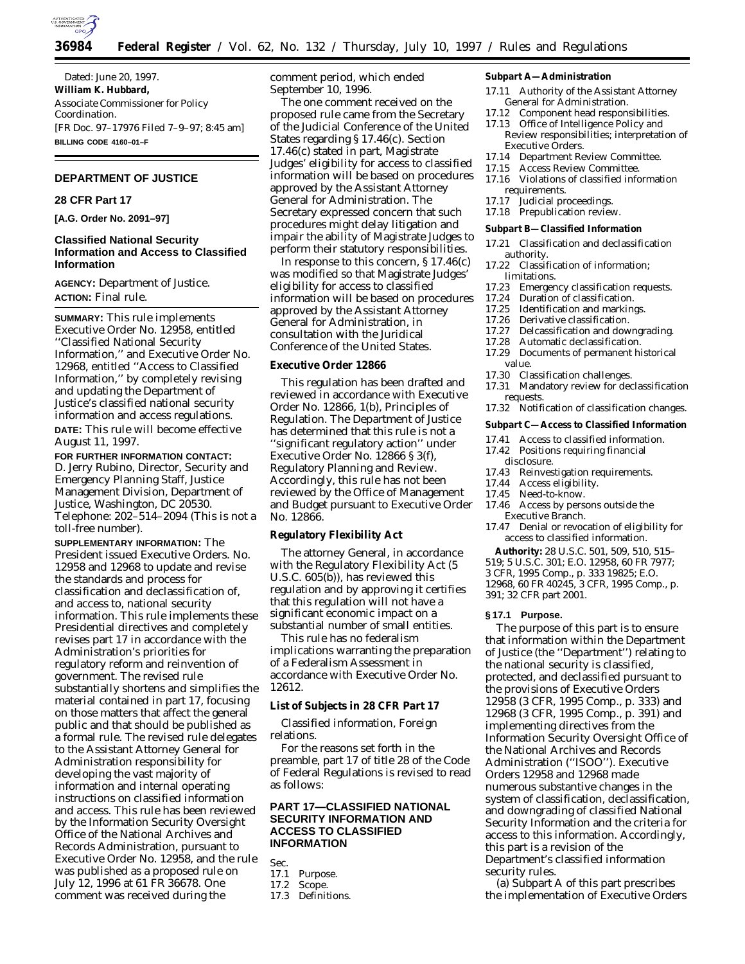

Dated: June 20, 1997. **William K. Hubbard,** *Associate Commissioner for Policy Coordination.* [FR Doc. 97–17976 Filed 7–9–97; 8:45 am] **BILLING CODE 4160–01–F**

# **DEPARTMENT OF JUSTICE**

### **28 CFR Part 17**

**[A.G. Order No. 2091–97]**

# **Classified National Security Information and Access to Classified Information**

**AGENCY:** Department of Justice. **ACTION:** Final rule.

**SUMMARY:** This rule implements Executive Order No. 12958, entitled ''Classified National Security Information,'' and Executive Order No. 12968, entitled ''Access to Classified Information,'' by completely revising and updating the Department of Justice's classified national security information and access regulations.

**DATE:** This rule will become effective August 11, 1997.

**FOR FURTHER INFORMATION CONTACT:** D. Jerry Rubino, Director, Security and

Emergency Planning Staff, Justice Management Division, Department of Justice, Washington, DC 20530. Telephone: 202–514–2094 (This is not a toll-free number).

**SUPPLEMENTARY INFORMATION:** The President issued Executive Orders. No. 12958 and 12968 to update and revise the standards and process for classification and declassification of, and access to, national security information. This rule implements these Presidential directives and completely revises part 17 in accordance with the Administration's priorities for regulatory reform and reinvention of government. The revised rule substantially shortens and simplifies the material contained in part 17, focusing on those matters that affect the general public and that should be published as a formal rule. The revised rule delegates to the Assistant Attorney General for Administration responsibility for developing the vast majority of information and internal operating instructions on classified information and access. This rule has been reviewed by the Information Security Oversight Office of the National Archives and Records Administration, pursuant to Executive Order No. 12958, and the rule was published as a proposed rule on July 12, 1996 at 61 FR 36678. One comment was received during the

comment period, which ended September 10, 1996.

The one comment received on the proposed rule came from the Secretary of the Judicial Conference of the United States regarding § 17.46(c). Section 17.46(c) stated in part, Magistrate Judges' eligibility for access to classified information will be based on procedures approved by the Assistant Attorney General for Administration. The Secretary expressed concern that such procedures might delay litigation and impair the ability of Magistrate Judges to perform their statutory responsibilities.

In response to this concern, § 17.46(c) was modified so that Magistrate Judges' eligibility for access to classified information will be based on procedures approved by the Assistant Attorney General for Administration, in consultation with the Juridical Conference of the United States.

### **Executive Order 12866**

This regulation has been drafted and reviewed in accordance with Executive Order No. 12866, 1(b), Principles of Regulation. The Department of Justice has determined that this rule is not a ''significant regulatory action'' under Executive Order No. 12866 § 3(f), Regulatory Planning and Review. Accordingly, this rule has not been reviewed by the Office of Management and Budget pursuant to Executive Order No. 12866.

## **Regulatory Flexibility Act**

The attorney General, in accordance with the Regulatory Flexibility Act (5 U.S.C. 605(b)), has reviewed this regulation and by approving it certifies that this regulation will not have a significant economic impact on a substantial number of small entities.

This rule has no federalism implications warranting the preparation of a Federalism Assessment in accordance with Executive Order No. 12612.

### **List of Subjects in 28 CFR Part 17**

Classified information, Foreign relations.

For the reasons set forth in the preamble, part 17 of title 28 of the Code of Federal Regulations is revised to read as follows:

# **PART 17—CLASSIFIED NATIONAL SECURITY INFORMATION AND ACCESS TO CLASSIFIED INFORMATION**

Sec.<br>17.1

### **Subpart A—Administration**

- 17.11 Authority of the Assistant Attorney General for Administration.
- 17.12 Component head responsibilities. 17.13 Office of Intelligence Policy and
- Review responsibilities; interpretation of Executive Orders.
- 17.14 Department Review Committee.
- 17.15 Access Review Committee.<br>17.16 Violations of classified info
- Violations of classified information requirements.
- 17.17 Judicial proceedings.
- 17.18 Prepublication review.

### **Subpart B—Classified Information**

- 17.21 Classification and declassification authority.
- 17.22 Classification of information; limitations.<br>17.23 Emergen
- 17.23 Emergency classification requests.<br>17.24 Duration of classification.
- Duration of classification.
- 17.25 Identification and markings.
- 17.26 Derivative classification.<br>17.27 Delcassification and dow
- 17.27 Delcassification and downgrading.
- 17.28 Automatic declassification.<br>17.29 Documents of permanent h
- Documents of permanent historical value.
- 17.30 Classification challenges.
- 17.31 Mandatory review for declassification requests.
- 17.32 Notification of classification changes.

### **Subpart C—Access to Classified Information**

- 17.41 Access to classified information.
- 17.42 Positions requiring financial disclosure.
- 17.43 Reinvestigation requirements.<br>17.44 Access eligibility
- 17.44 Access eligibility.<br>17.45 Need-to-know.
- Need-to-know.
- 17.46 Access by persons outside the Executive Branch.
- 17.47 Denial or revocation of eligibility for access to classified information.
- **Authority:** 28 U.S.C. 501, 509, 510, 515–
- 519; 5 U.S.C. 301; E.O. 12958, 60 FR 7977;

3 CFR, 1995 Comp., p. 333 19825; E.O.

12968, 60 FR 40245, 3 CFR, 1995 Comp., p.

391; 32 CFR part 2001.

### **§ 17.1 Purpose.**

The purpose of this part is to ensure that information within the Department of Justice (the ''Department'') relating to the national security is classified, protected, and declassified pursuant to the provisions of Executive Orders 12958 (3 CFR, 1995 Comp., p. 333) and 12968 (3 CFR, 1995 Comp., p. 391) and implementing directives from the Information Security Oversight Office of the National Archives and Records Administration (''ISOO''). Executive Orders 12958 and 12968 made numerous substantive changes in the system of classification, declassification, and downgrading of classified National Security Information and the criteria for access to this information. Accordingly, this part is a revision of the Department's classified information security rules.

(a) Subpart A of this part prescribes the implementation of Executive Orders

Purpose.

<sup>17.2</sup> Scope.<br>17.3 Definit

Definitions.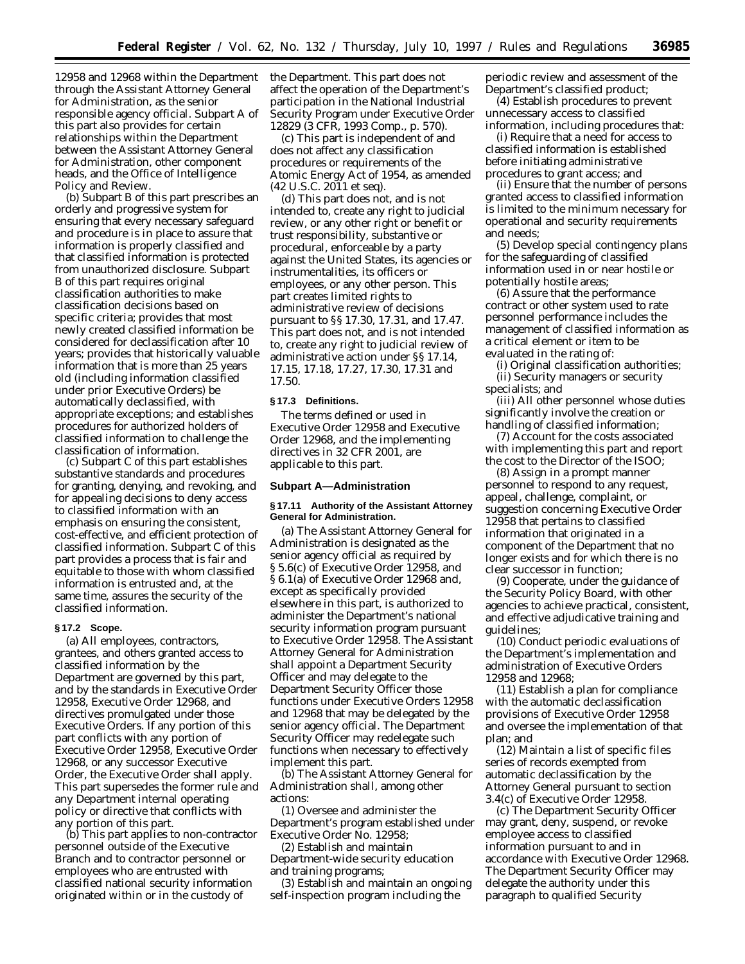12958 and 12968 within the Department through the Assistant Attorney General for Administration, as the senior responsible agency official. Subpart A of this part also provides for certain relationships within the Department between the Assistant Attorney General for Administration, other component heads, and the Office of Intelligence Policy and Review.

(b) Subpart B of this part prescribes an orderly and progressive system for ensuring that every necessary safeguard and procedure is in place to assure that information is properly classified and that classified information is protected from unauthorized disclosure. Subpart B of this part requires original classification authorities to make classification decisions based on specific criteria; provides that most newly created classified information be considered for declassification after 10 years; provides that historically valuable information that is more than 25 years old (including information classified under prior Executive Orders) be automatically declassified, with appropriate exceptions; and establishes procedures for authorized holders of classified information to challenge the classification of information.

(c) Subpart C of this part establishes substantive standards and procedures for granting, denying, and revoking, and for appealing decisions to deny access to classified information with an emphasis on ensuring the consistent, cost-effective, and efficient protection of classified information. Subpart C of this part provides a process that is fair and equitable to those with whom classified information is entrusted and, at the same time, assures the security of the classified information.

## **§ 17.2 Scope.**

(a) All employees, contractors, grantees, and others granted access to classified information by the Department are governed by this part, and by the standards in Executive Order 12958, Executive Order 12968, and directives promulgated under those Executive Orders. If any portion of this part conflicts with any portion of Executive Order 12958, Executive Order 12968, or any successor Executive Order, the Executive Order shall apply. This part supersedes the former rule and any Department internal operating policy or directive that conflicts with any portion of this part.

(b) This part applies to non-contractor personnel outside of the Executive Branch and to contractor personnel or employees who are entrusted with classified national security information originated within or in the custody of

the Department. This part does not affect the operation of the Department's participation in the National Industrial Security Program under Executive Order 12829 (3 CFR, 1993 Comp., p. 570).

(c) This part is independent of and does not affect any classification procedures or requirements of the Atomic Energy Act of 1954, as amended (42 U.S.C. 2011 *et seq*).

(d) This part does not, and is not intended to, create any right to judicial review, or any other right or benefit or trust responsibility, substantive or procedural, enforceable by a party against the United States, its agencies or instrumentalities, its officers or employees, or any other person. This part creates limited rights to administrative review of decisions pursuant to §§ 17.30, 17.31, and 17.47. This part does not, and is not intended to, create any right to judicial review of administrative action under §§ 17.14, 17.15, 17.18, 17.27, 17.30, 17.31 and 17.50.

### **§ 17.3 Definitions.**

The terms defined or used in Executive Order 12958 and Executive Order 12968, and the implementing directives in 32 CFR 2001, are applicable to this part.

### **Subpart A—Administration**

### **§ 17.11 Authority of the Assistant Attorney General for Administration.**

(a) The Assistant Attorney General for Administration is designated as the senior agency official as required by § 5.6(c) of Executive Order 12958, and § 6.1(a) of Executive Order 12968 and, except as specifically provided elsewhere in this part, is authorized to administer the Department's national security information program pursuant to Executive Order 12958. The Assistant Attorney General for Administration shall appoint a Department Security Officer and may delegate to the Department Security Officer those functions under Executive Orders 12958 and 12968 that may be delegated by the senior agency official. The Department Security Officer may redelegate such functions when necessary to effectively implement this part.

(b) The Assistant Attorney General for Administration shall, among other actions:

(1) Oversee and administer the Department's program established under Executive Order No. 12958;

(2) Establish and maintain Department-wide security education and training programs;

(3) Establish and maintain an ongoing self-inspection program including the

periodic review and assessment of the Department's classified product;

(4) Establish procedures to prevent unnecessary access to classified information, including procedures that:

(i) Require that a need for access to classified information is established before initiating administrative procedures to grant access; and

(ii) Ensure that the number of persons granted access to classified information is limited to the minimum necessary for operational and security requirements and needs;

(5) Develop special contingency plans for the safeguarding of classified information used in or near hostile or potentially hostile areas;

(6) Assure that the performance contract or other system used to rate personnel performance includes the management of classified information as a critical element or item to be evaluated in the rating of:

(i) Original classification authorities; (ii) Security managers or security specialists; and

(iii) All other personnel whose duties significantly involve the creation or handling of classified information;

(7) Account for the costs associated with implementing this part and report the cost to the Director of the ISOO;

(8) Assign in a prompt manner personnel to respond to any request, appeal, challenge, complaint, or suggestion concerning Executive Order 12958 that pertains to classified information that originated in a component of the Department that no longer exists and for which there is no clear successor in function;

(9) Cooperate, under the guidance of the Security Policy Board, with other agencies to achieve practical, consistent, and effective adjudicative training and guidelines;

(10) Conduct periodic evaluations of the Department's implementation and administration of Executive Orders 12958 and 12968;

(11) Establish a plan for compliance with the automatic declassification provisions of Executive Order 12958 and oversee the implementation of that plan; and

(12) Maintain a list of specific files series of records exempted from automatic declassification by the Attorney General pursuant to section 3.4(c) of Executive Order 12958.

(c) The Department Security Officer may grant, deny, suspend, or revoke employee access to classified information pursuant to and in accordance with Executive Order 12968. The Department Security Officer may delegate the authority under this paragraph to qualified Security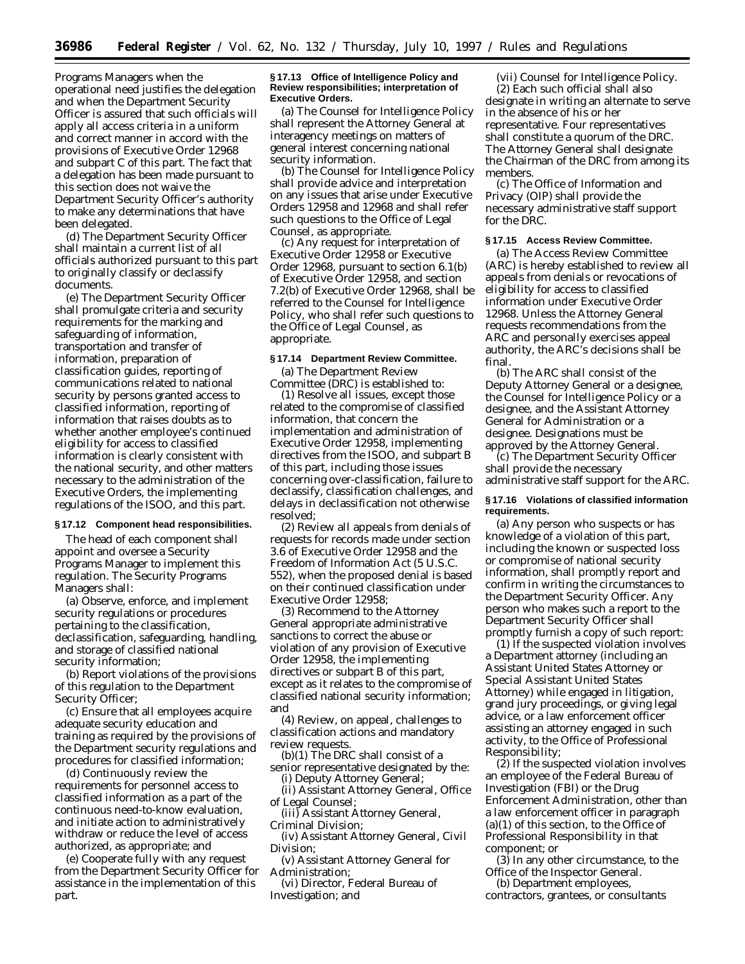Programs Managers when the operational need justifies the delegation and when the Department Security Officer is assured that such officials will apply all access criteria in a uniform and correct manner in accord with the provisions of Executive Order 12968 and subpart C of this part. The fact that a delegation has been made pursuant to this section does not waive the Department Security Officer's authority to make any determinations that have been delegated.

(d) The Department Security Officer shall maintain a current list of all officials authorized pursuant to this part to originally classify or declassify documents.

(e) The Department Security Officer shall promulgate criteria and security requirements for the marking and safeguarding of information, transportation and transfer of information, preparation of classification guides, reporting of communications related to national security by persons granted access to classified information, reporting of information that raises doubts as to whether another employee's continued eligibility for access to classified information is clearly consistent with the national security, and other matters necessary to the administration of the Executive Orders, the implementing regulations of the ISOO, and this part.

### **§ 17.12 Component head responsibilities.**

The head of each component shall appoint and oversee a Security Programs Manager to implement this regulation. The Security Programs Managers shall:

(a) Observe, enforce, and implement security regulations or procedures pertaining to the classification, declassification, safeguarding, handling, and storage of classified national security information;

(b) Report violations of the provisions of this regulation to the Department Security Officer;

(c) Ensure that all employees acquire adequate security education and training as required by the provisions of the Department security regulations and procedures for classified information;

(d) Continuously review the requirements for personnel access to classified information as a part of the continuous need-to-know evaluation, and initiate action to administratively withdraw or reduce the level of access authorized, as appropriate; and

(e) Cooperate fully with any request from the Department Security Officer for assistance in the implementation of this part.

### **§ 17.13 Office of Intelligence Policy and Review responsibilities; interpretation of Executive Orders.**

(a) The Counsel for Intelligence Policy shall represent the Attorney General at interagency meetings on matters of general interest concerning national security information.

(b) The Counsel for Intelligence Policy shall provide advice and interpretation on any issues that arise under Executive Orders 12958 and 12968 and shall refer such questions to the Office of Legal Counsel, as appropriate.

(c) Any request for interpretation of Executive Order 12958 or Executive Order 12968, pursuant to section 6.1(b) of Executive Order 12958, and section 7.2(b) of Executive Order 12968, shall be referred to the Counsel for Intelligence Policy, who shall refer such questions to the Office of Legal Counsel, as appropriate.

### **§ 17.14 Department Review Committee.**

(a) The Department Review Committee (DRC) is established to:

(1) Resolve all issues, except those related to the compromise of classified information, that concern the implementation and administration of Executive Order 12958, implementing directives from the ISOO, and subpart B of this part, including those issues concerning over-classification, failure to declassify, classification challenges, and delays in declassification not otherwise resolved;

(2) Review all appeals from denials of requests for records made under section 3.6 of Executive Order 12958 and the Freedom of Information Act (5 U.S.C. 552), when the proposed denial is based on their continued classification under Executive Order 12958;

(3) Recommend to the Attorney General appropriate administrative sanctions to correct the abuse or violation of any provision of Executive Order 12958, the implementing directives or subpart B of this part, except as it relates to the compromise of classified national security information; and

(4) Review, on appeal, challenges to classification actions and mandatory review requests.

(b)(1) The DRC shall consist of a senior representative designated by the:

(i) Deputy Attorney General; (ii) Assistant Attorney General, Office of Legal Counsel;

(iii) Assistant Attorney General, Criminal Division;

(iv) Assistant Attorney General, Civil Division;

(v) Assistant Attorney General for Administration;

(vi) Director, Federal Bureau of Investigation; and

(vii) Counsel for Intelligence Policy. (2) Each such official shall also designate in writing an alternate to serve in the absence of his or her representative. Four representatives shall constitute a quorum of the DRC. The Attorney General shall designate the Chairman of the DRC from among its members.

(c) The Office of Information and Privacy (OIP) shall provide the necessary administrative staff support for the DRC.

## **§ 17.15 Access Review Committee.**

(a) The Access Review Committee (ARC) is hereby established to review all appeals from denials or revocations of eligibility for access to classified information under Executive Order 12968. Unless the Attorney General requests recommendations from the ARC and personally exercises appeal authority, the ARC's decisions shall be final.

(b) The ARC shall consist of the Deputy Attorney General or a designee, the Counsel for Intelligence Policy or a designee, and the Assistant Attorney General for Administration or a designee. Designations must be approved by the Attorney General.

(c) The Department Security Officer shall provide the necessary administrative staff support for the ARC.

### **§ 17.16 Violations of classified information requirements.**

(a) Any person who suspects or has knowledge of a violation of this part, including the known or suspected loss or compromise of national security information, shall promptly report and confirm in writing the circumstances to the Department Security Officer. Any person who makes such a report to the Department Security Officer shall promptly furnish a copy of such report:

(1) If the suspected violation involves a Department attorney (including an Assistant United States Attorney or Special Assistant United States Attorney) while engaged in litigation, grand jury proceedings, or giving legal advice, or a law enforcement officer assisting an attorney engaged in such activity, to the Office of Professional Responsibility;

(2) If the suspected violation involves an employee of the Federal Bureau of Investigation (FBI) or the Drug Enforcement Administration, other than a law enforcement officer in paragraph  $(a)(1)$  of this section, to the Office of Professional Responsibility in that component; or

(3) In any other circumstance, to the Office of the Inspector General.

(b) Department employees, contractors, grantees, or consultants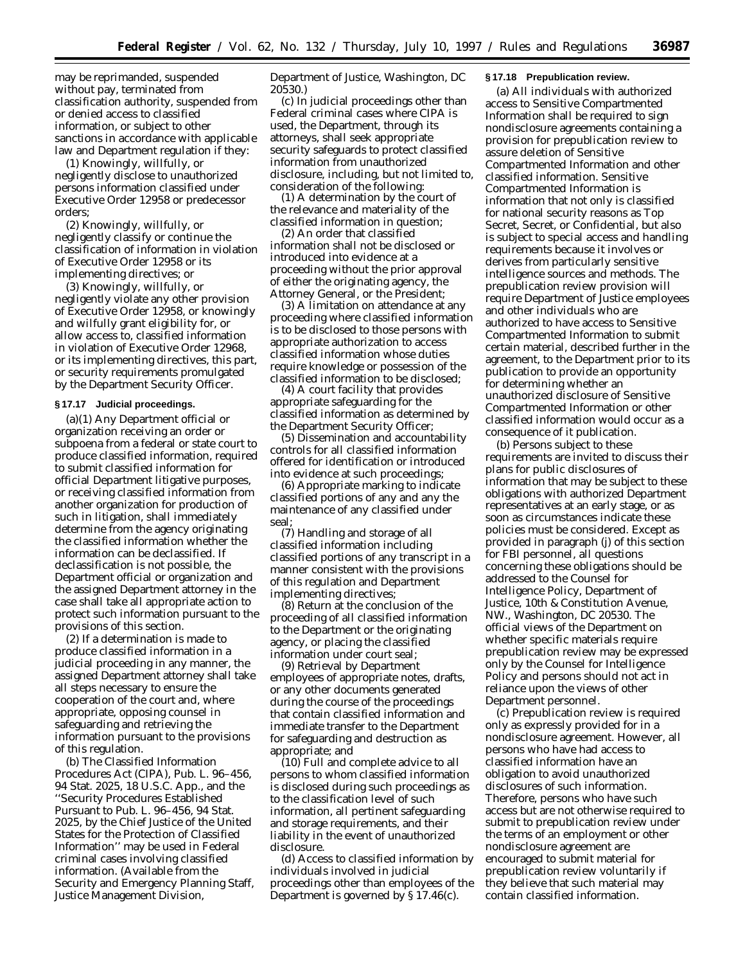may be reprimanded, suspended without pay, terminated from classification authority, suspended from or denied access to classified information, or subject to other sanctions in accordance with applicable law and Department regulation if they:

(1) Knowingly, willfully, or negligently disclose to unauthorized persons information classified under Executive Order 12958 or predecessor orders;

(2) Knowingly, willfully, or negligently classify or continue the classification of information in violation of Executive Order 12958 or its implementing directives; or

(3) Knowingly, willfully, or negligently violate any other provision of Executive Order 12958, or knowingly and wilfully grant eligibility for, or allow access to, classified information in violation of Executive Order 12968, or its implementing directives, this part, or security requirements promulgated by the Department Security Officer.

## **§ 17.17 Judicial proceedings.**

(a)(1) Any Department official or organization receiving an order or subpoena from a federal or state court to produce classified information, required to submit classified information for official Department litigative purposes, or receiving classified information from another organization for production of such in litigation, shall immediately determine from the agency originating the classified information whether the information can be declassified. If declassification is not possible, the Department official or organization and the assigned Department attorney in the case shall take all appropriate action to protect such information pursuant to the provisions of this section.

(2) If a determination is made to produce classified information in a judicial proceeding in any manner, the assigned Department attorney shall take all steps necessary to ensure the cooperation of the court and, where appropriate, opposing counsel in safeguarding and retrieving the information pursuant to the provisions of this regulation.

(b) The Classified Information Procedures Act (CIPA), Pub. L. 96–456, 94 Stat. 2025, 18 U.S.C. App., and the ''Security Procedures Established Pursuant to Pub. L. 96–456, 94 Stat. 2025, by the Chief Justice of the United States for the Protection of Classified Information'' may be used in Federal criminal cases involving classified information. (Available from the Security and Emergency Planning Staff, Justice Management Division,

Department of Justice, Washington, DC 20530.)

(c) In judicial proceedings other than Federal criminal cases where CIPA is used, the Department, through its attorneys, shall seek appropriate security safeguards to protect classified information from unauthorized disclosure, including, but not limited to, consideration of the following:

(1) A determination by the court of the relevance and materiality of the classified information in question;

(2) An order that classified information shall not be disclosed or introduced into evidence at a proceeding without the prior approval of either the originating agency, the Attorney General, or the President;

(3) A limitation on attendance at any proceeding where classified information is to be disclosed to those persons with appropriate authorization to access classified information whose duties require knowledge or possession of the classified information to be disclosed;

(4) A court facility that provides appropriate safeguarding for the classified information as determined by the Department Security Officer;

(5) Dissemination and accountability controls for all classified information offered for identification or introduced into evidence at such proceedings;

(6) Appropriate marking to indicate classified portions of any and any the maintenance of any classified under seal;

(7) Handling and storage of all classified information including classified portions of any transcript in a manner consistent with the provisions of this regulation and Department implementing directives;

(8) Return at the conclusion of the proceeding of all classified information to the Department or the originating agency, or placing the classified information under court seal;

(9) Retrieval by Department employees of appropriate notes, drafts, or any other documents generated during the course of the proceedings that contain classified information and immediate transfer to the Department for safeguarding and destruction as appropriate; and

(10) Full and complete advice to all persons to whom classified information is disclosed during such proceedings as to the classification level of such information, all pertinent safeguarding and storage requirements, and their liability in the event of unauthorized disclosure.

(d) Access to classified information by individuals involved in judicial proceedings other than employees of the Department is governed by § 17.46(c).

### **§ 17.18 Prepublication review.**

(a) All individuals with authorized access to Sensitive Compartmented Information shall be required to sign nondisclosure agreements containing a provision for prepublication review to assure deletion of Sensitive Compartmented Information and other classified information. Sensitive Compartmented Information is information that not only is classified for national security reasons as Top Secret, Secret, or Confidential, but also is subject to special access and handling requirements because it involves or derives from particularly sensitive intelligence sources and methods. The prepublication review provision will require Department of Justice employees and other individuals who are authorized to have access to Sensitive Compartmented Information to submit certain material, described further in the agreement, to the Department prior to its publication to provide an opportunity for determining whether an unauthorized disclosure of Sensitive Compartmented Information or other classified information would occur as a consequence of it publication.

(b) Persons subject to these requirements are invited to discuss their plans for public disclosures of information that may be subject to these obligations with authorized Department representatives at an early stage, or as soon as circumstances indicate these policies must be considered. Except as provided in paragraph (j) of this section for FBI personnel, all questions concerning these obligations should be addressed to the Counsel for Intelligence Policy, Department of Justice, 10th & Constitution Avenue, NW., Washington, DC 20530. The official views of the Department on whether specific materials require prepublication review may be expressed only by the Counsel for Intelligence Policy and persons should not act in reliance upon the views of other Department personnel.

(c) Prepublication review is required only as expressly provided for in a nondisclosure agreement. However, all persons who have had access to classified information have an obligation to avoid unauthorized disclosures of such information. Therefore, persons who have such access but are not otherwise required to submit to prepublication review under the terms of an employment or other nondisclosure agreement are encouraged to submit material for prepublication review voluntarily if they believe that such material may contain classified information.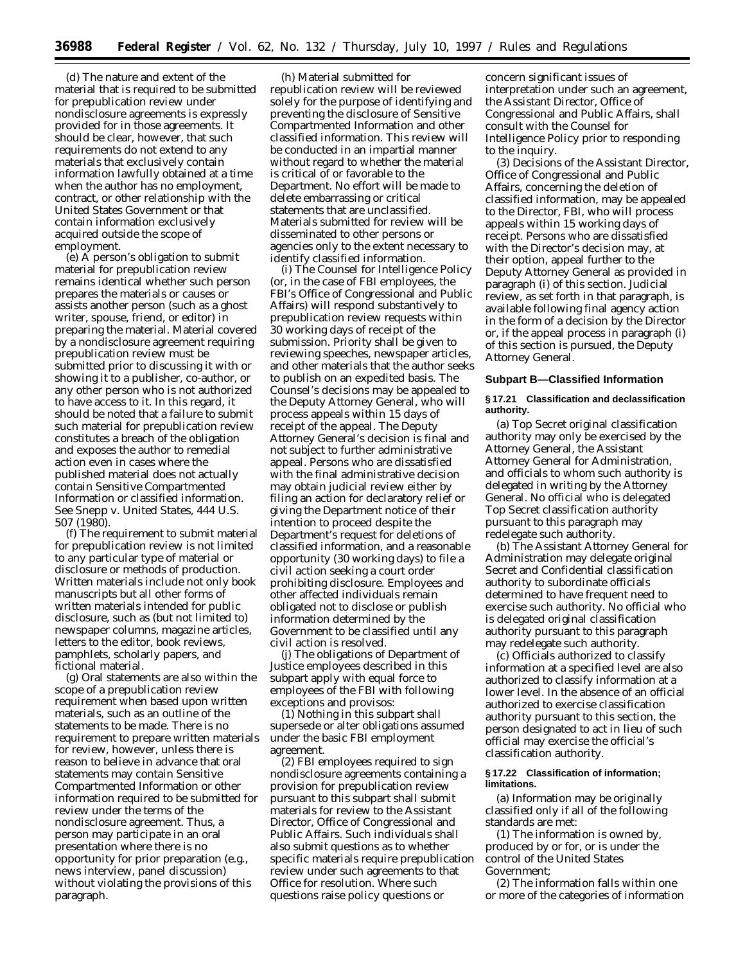(d) The nature and extent of the material that is required to be submitted for prepublication review under nondisclosure agreements is expressly provided for in those agreements. It should be clear, however, that such requirements do not extend to any materials that exclusively contain information lawfully obtained at a time when the author has no employment, contract, or other relationship with the United States Government or that contain information exclusively acquired outside the scope of employment.

(e) A person's obligation to submit material for prepublication review remains identical whether such person prepares the materials or causes or assists another person (such as a ghost writer, spouse, friend, or editor) in preparing the material. Material covered by a nondisclosure agreement requiring prepublication review must be submitted prior to discussing it with or showing it to a publisher, co-author, or any other person who is not authorized to have access to it. In this regard, it should be noted that a failure to submit such material for prepublication review constitutes a breach of the obligation and exposes the author to remedial action even in cases where the published material does not actually contain Sensitive Compartmented Information or classified information. See *Snepp* v. *United States,* 444 U.S. 507 (1980).

(f) The requirement to submit material for prepublication review is not limited to any particular type of material or disclosure or methods of production. Written materials include not only book manuscripts but all other forms of written materials intended for public disclosure, such as (but not limited to) newspaper columns, magazine articles, letters to the editor, book reviews, pamphlets, scholarly papers, and fictional material.

(g) Oral statements are also within the scope of a prepublication review requirement when based upon written materials, such as an outline of the statements to be made. There is no requirement to prepare written materials for review, however, unless there is reason to believe in advance that oral statements may contain Sensitive Compartmented Information or other information required to be submitted for review under the terms of the nondisclosure agreement. Thus, a person may participate in an oral presentation where there is no opportunity for prior preparation (e.g., news interview, panel discussion) without violating the provisions of this paragraph.

(h) Material submitted for republication review will be reviewed solely for the purpose of identifying and preventing the disclosure of Sensitive Compartmented Information and other classified information. This review will be conducted in an impartial manner without regard to whether the material is critical of or favorable to the Department. No effort will be made to delete embarrassing or critical statements that are unclassified. Materials submitted for review will be disseminated to other persons or agencies only to the extent necessary to identify classified information.

(i) The Counsel for Intelligence Policy (or, in the case of FBI employees, the FBI's Office of Congressional and Public Affairs) will respond substantively to prepublication review requests within 30 working days of receipt of the submission. Priority shall be given to reviewing speeches, newspaper articles, and other materials that the author seeks to publish on an expedited basis. The Counsel's decisions may be appealed to the Deputy Attorney General, who will process appeals within 15 days of receipt of the appeal. The Deputy Attorney General's decision is final and not subject to further administrative appeal. Persons who are dissatisfied with the final administrative decision may obtain judicial review either by filing an action for declaratory relief or giving the Department notice of their intention to proceed despite the Department's request for deletions of classified information, and a reasonable opportunity (30 working days) to file a civil action seeking a court order prohibiting disclosure. Employees and other affected individuals remain obligated not to disclose or publish information determined by the Government to be classified until any civil action is resolved.

(j) The obligations of Department of Justice employees described in this subpart apply with equal force to employees of the FBI with following exceptions and provisos:

(1) Nothing in this subpart shall supersede or alter obligations assumed under the basic FBI employment agreement.

(2) FBI employees required to sign nondisclosure agreements containing a provision for prepublication review pursuant to this subpart shall submit materials for review to the Assistant Director, Office of Congressional and Public Affairs. Such individuals shall also submit questions as to whether specific materials require prepublication review under such agreements to that Office for resolution. Where such questions raise policy questions or

concern significant issues of interpretation under such an agreement, the Assistant Director, Office of Congressional and Public Affairs, shall consult with the Counsel for Intelligence Policy prior to responding to the inquiry.

(3) Decisions of the Assistant Director, Office of Congressional and Public Affairs, concerning the deletion of classified information, may be appealed to the Director, FBI, who will process appeals within 15 working days of receipt. Persons who are dissatisfied with the Director's decision may, at their option, appeal further to the Deputy Attorney General as provided in paragraph (i) of this section. Judicial review, as set forth in that paragraph, is available following final agency action in the form of a decision by the Director or, if the appeal process in paragraph (i) of this section is pursued, the Deputy Attorney General.

### **Subpart B—Classified Information**

## **§ 17.21 Classification and declassification authority.**

(a) Top Secret original classification authority may only be exercised by the Attorney General, the Assistant Attorney General for Administration, and officials to whom such authority is delegated in writing by the Attorney General. No official who is delegated Top Secret classification authority pursuant to this paragraph may redelegate such authority.

(b) The Assistant Attorney General for Administration may delegate original Secret and Confidential classification authority to subordinate officials determined to have frequent need to exercise such authority. No official who is delegated original classification authority pursuant to this paragraph may redelegate such authority.

(c) Officials authorized to classify information at a specified level are also authorized to classify information at a lower level. In the absence of an official authorized to exercise classification authority pursuant to this section, the person designated to act in lieu of such official may exercise the official's classification authority.

### **§ 17.22 Classification of information; limitations.**

(a) Information may be originally classified only if all of the following standards are met:

(1) The information is owned by, produced by or for, or is under the control of the United States Government;

(2) The information falls within one or more of the categories of information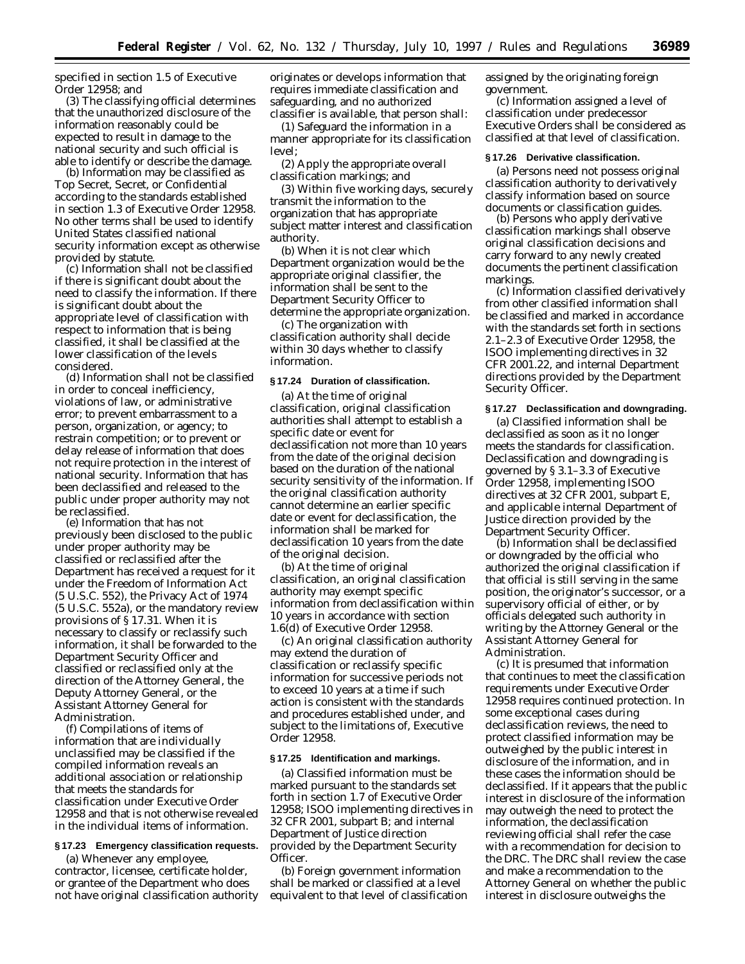specified in section 1.5 of Executive Order 12958; and

(3) The classifying official determines that the unauthorized disclosure of the information reasonably could be expected to result in damage to the national security and such official is able to identify or describe the damage.

(b) Information may be classified as Top Secret, Secret, or Confidential according to the standards established in section 1.3 of Executive Order 12958. No other terms shall be used to identify United States classified national security information except as otherwise provided by statute.

(c) Information shall not be classified if there is significant doubt about the need to classify the information. If there is significant doubt about the appropriate level of classification with respect to information that is being classified, it shall be classified at the lower classification of the levels considered.

(d) Information shall not be classified in order to conceal inefficiency, violations of law, or administrative error; to prevent embarrassment to a person, organization, or agency; to restrain competition; or to prevent or delay release of information that does not require protection in the interest of national security. Information that has been declassified and released to the public under proper authority may not be reclassified.

(e) Information that has not previously been disclosed to the public under proper authority may be classified or reclassified after the Department has received a request for it under the Freedom of Information Act (5 U.S.C. 552), the Privacy Act of 1974 (5 U.S.C. 552a), or the mandatory review provisions of § 17.31. When it is necessary to classify or reclassify such information, it shall be forwarded to the Department Security Officer and classified or reclassified only at the direction of the Attorney General, the Deputy Attorney General, or the Assistant Attorney General for Administration.

(f) Compilations of items of information that are individually unclassified may be classified if the compiled information reveals an additional association or relationship that meets the standards for classification under Executive Order 12958 and that is not otherwise revealed in the individual items of information.

# **§ 17.23 Emergency classification requests.**

(a) Whenever any employee, contractor, licensee, certificate holder, or grantee of the Department who does not have original classification authority

originates or develops information that requires immediate classification and safeguarding, and no authorized classifier is available, that person shall:

(1) Safeguard the information in a manner appropriate for its classification level;

(2) Apply the appropriate overall classification markings; and

(3) Within five working days, securely transmit the information to the organization that has appropriate subject matter interest and classification authority.

(b) When it is not clear which Department organization would be the appropriate original classifier, the information shall be sent to the Department Security Officer to determine the appropriate organization.

(c) The organization with classification authority shall decide within 30 days whether to classify information.

### **§ 17.24 Duration of classification.**

(a) At the time of original classification, original classification authorities shall attempt to establish a specific date or event for declassification not more than 10 years from the date of the original decision based on the duration of the national security sensitivity of the information. If the original classification authority cannot determine an earlier specific date or event for declassification, the information shall be marked for declassification 10 years from the date of the original decision.

(b) At the time of original classification, an original classification authority may exempt specific information from declassification within 10 years in accordance with section 1.6(d) of Executive Order 12958.

(c) An original classification authority may extend the duration of classification or reclassify specific information for successive periods not to exceed 10 years at a time if such action is consistent with the standards and procedures established under, and subject to the limitations of, Executive Order 12958.

### **§ 17.25 Identification and markings.**

(a) Classified information must be marked pursuant to the standards set forth in section 1.7 of Executive Order 12958; ISOO implementing directives in 32 CFR 2001, subpart B; and internal Department of Justice direction provided by the Department Security Officer.

(b) Foreign government information shall be marked or classified at a level equivalent to that level of classification assigned by the originating foreign government.

(c) Information assigned a level of classification under predecessor Executive Orders shall be considered as classified at that level of classification.

### **§ 17.26 Derivative classification.**

(a) Persons need not possess original classification authority to derivatively classify information based on source documents or classification guides.

(b) Persons who apply derivative classification markings shall observe original classification decisions and carry forward to any newly created documents the pertinent classification markings.

(c) Information classified derivatively from other classified information shall be classified and marked in accordance with the standards set forth in sections 2.1–2.3 of Executive Order 12958, the ISOO implementing directives in 32 CFR 2001.22, and internal Department directions provided by the Department Security Officer.

### **§ 17.27 Declassification and downgrading.**

(a) Classified information shall be declassified as soon as it no longer meets the standards for classification. Declassification and downgrading is governed by § 3.1–3.3 of Executive Order 12958, implementing ISOO directives at 32 CFR 2001, subpart E, and applicable internal Department of Justice direction provided by the Department Security Officer.

(b) Information shall be declassified or downgraded by the official who authorized the original classification if that official is still serving in the same position, the originator's successor, or a supervisory official of either, or by officials delegated such authority in writing by the Attorney General or the Assistant Attorney General for Administration.

(c) It is presumed that information that continues to meet the classification requirements under Executive Order 12958 requires continued protection. In some exceptional cases during declassification reviews, the need to protect classified information may be outweighed by the public interest in disclosure of the information, and in these cases the information should be declassified. If it appears that the public interest in disclosure of the information may outweigh the need to protect the information, the declassification reviewing official shall refer the case with a recommendation for decision to the DRC. The DRC shall review the case and make a recommendation to the Attorney General on whether the public interest in disclosure outweighs the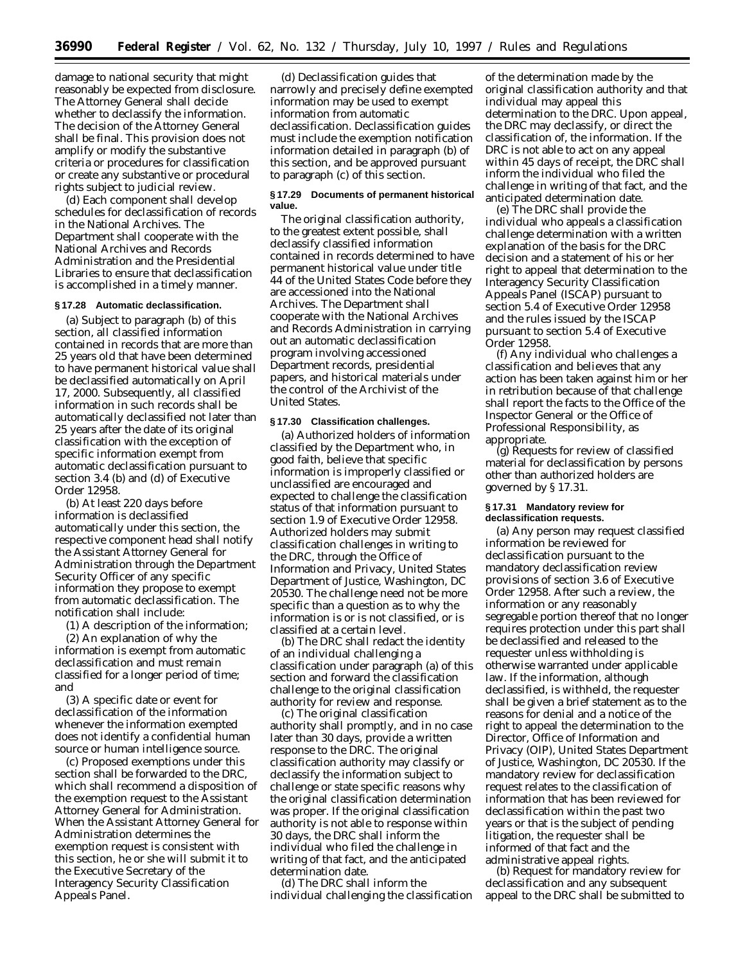damage to national security that might reasonably be expected from disclosure. The Attorney General shall decide whether to declassify the information. The decision of the Attorney General shall be final. This provision does not amplify or modify the substantive criteria or procedures for classification or create any substantive or procedural rights subject to judicial review.

(d) Each component shall develop schedules for declassification of records in the National Archives. The Department shall cooperate with the National Archives and Records Administration and the Presidential Libraries to ensure that declassification is accomplished in a timely manner.

## **§ 17.28 Automatic declassification.**

(a) Subject to paragraph (b) of this section, all classified information contained in records that are more than 25 years old that have been determined to have permanent historical value shall be declassified automatically on April 17, 2000. Subsequently, all classified information in such records shall be automatically declassified not later than 25 years after the date of its original classification with the exception of specific information exempt from automatic declassification pursuant to section 3.4 (b) and (d) of Executive Order 12958.

(b) At least 220 days before information is declassified automatically under this section, the respective component head shall notify the Assistant Attorney General for Administration through the Department Security Officer of any specific information they propose to exempt from automatic declassification. The notification shall include:

(1) A description of the information; (2) An explanation of why the information is exempt from automatic declassification and must remain classified for a longer period of time; and

(3) A specific date or event for declassification of the information whenever the information exempted does not identify a confidential human source or human intelligence source.

(c) Proposed exemptions under this section shall be forwarded to the DRC, which shall recommend a disposition of the exemption request to the Assistant Attorney General for Administration. When the Assistant Attorney General for Administration determines the exemption request is consistent with this section, he or she will submit it to the Executive Secretary of the Interagency Security Classification Appeals Panel.

(d) Declassification guides that narrowly and precisely define exempted information may be used to exempt information from automatic declassification. Declassification guides must include the exemption notification information detailed in paragraph (b) of this section, and be approved pursuant to paragraph (c) of this section.

### **§ 17.29 Documents of permanent historical value.**

The original classification authority, to the greatest extent possible, shall declassify classified information contained in records determined to have permanent historical value under title 44 of the United States Code before they are accessioned into the National Archives. The Department shall cooperate with the National Archives and Records Administration in carrying out an automatic declassification program involving accessioned Department records, presidential papers, and historical materials under the control of the Archivist of the United States.

### **§ 17.30 Classification challenges.**

(a) Authorized holders of information classified by the Department who, in good faith, believe that specific information is improperly classified or unclassified are encouraged and expected to challenge the classification status of that information pursuant to section 1.9 of Executive Order 12958. Authorized holders may submit classification challenges in writing to the DRC, through the Office of Information and Privacy, United States Department of Justice, Washington, DC 20530. The challenge need not be more specific than a question as to why the information is or is not classified, or is classified at a certain level.

(b) The DRC shall redact the identity of an individual challenging a classification under paragraph (a) of this section and forward the classification challenge to the original classification authority for review and response.

(c) The original classification authority shall promptly, and in no case later than 30 days, provide a written response to the DRC. The original classification authority may classify or declassify the information subject to challenge or state specific reasons why the original classification determination was proper. If the original classification authority is not able to response within 30 days, the DRC shall inform the individual who filed the challenge in writing of that fact, and the anticipated determination date.

(d) The DRC shall inform the individual challenging the classification of the determination made by the original classification authority and that individual may appeal this determination to the DRC. Upon appeal, the DRC may declassify, or direct the classification of, the information. If the DRC is not able to act on any appeal within 45 days of receipt, the DRC shall inform the individual who filed the challenge in writing of that fact, and the anticipated determination date.

(e) The DRC shall provide the individual who appeals a classification challenge determination with a written explanation of the basis for the DRC decision and a statement of his or her right to appeal that determination to the Interagency Security Classification Appeals Panel (ISCAP) pursuant to section 5.4 of Executive Order 12958 and the rules issued by the ISCAP pursuant to section 5.4 of Executive Order 12958.

(f) Any individual who challenges a classification and believes that any action has been taken against him or her in retribution because of that challenge shall report the facts to the Office of the Inspector General or the Office of Professional Responsibility, as appropriate.

(g) Requests for review of classified material for declassification by persons other than authorized holders are governed by § 17.31.

### **§ 17.31 Mandatory review for declassification requests.**

(a) Any person may request classified information be reviewed for declassification pursuant to the mandatory declassification review provisions of section 3.6 of Executive Order 12958. After such a review, the information or any reasonably segregable portion thereof that no longer requires protection under this part shall be declassified and released to the requester unless withholding is otherwise warranted under applicable law. If the information, although declassified, is withheld, the requester shall be given a brief statement as to the reasons for denial and a notice of the right to appeal the determination to the Director, Office of Information and Privacy (OIP), United States Department of Justice, Washington, DC 20530. If the mandatory review for declassification request relates to the classification of information that has been reviewed for declassification within the past two years or that is the subject of pending litigation, the requester shall be informed of that fact and the administrative appeal rights.

(b) Request for mandatory review for declassification and any subsequent appeal to the DRC shall be submitted to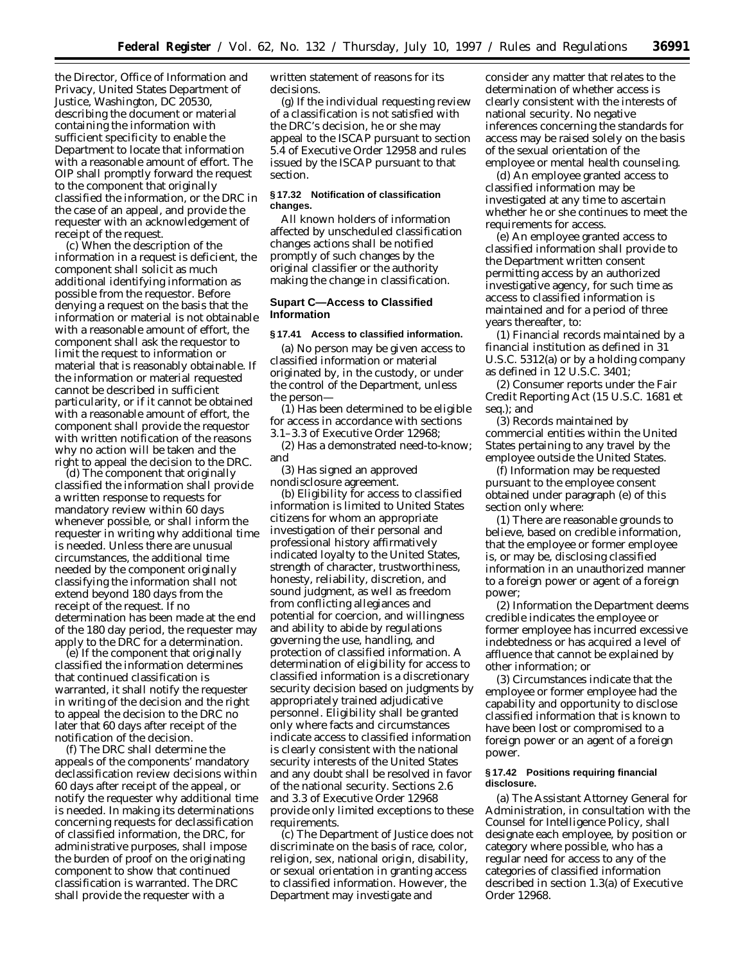the Director, Office of Information and Privacy, United States Department of Justice, Washington, DC 20530, describing the document or material containing the information with sufficient specificity to enable the Department to locate that information with a reasonable amount of effort. The OIP shall promptly forward the request to the component that originally classified the information, or the DRC in the case of an appeal, and provide the requester with an acknowledgement of receipt of the request.

(c) When the description of the information in a request is deficient, the component shall solicit as much additional identifying information as possible from the requestor. Before denying a request on the basis that the information or material is not obtainable with a reasonable amount of effort, the component shall ask the requestor to limit the request to information or material that is reasonably obtainable. If the information or material requested cannot be described in sufficient particularity, or if it cannot be obtained with a reasonable amount of effort, the component shall provide the requestor with written notification of the reasons why no action will be taken and the right to appeal the decision to the DRC.

(d) The component that originally classified the information shall provide a written response to requests for mandatory review within 60 days whenever possible, or shall inform the requester in writing why additional time is needed. Unless there are unusual circumstances, the additional time needed by the component originally classifying the information shall not extend beyond 180 days from the receipt of the request. If no determination has been made at the end of the 180 day period, the requester may apply to the DRC for a determination.

(e) If the component that originally classified the information determines that continued classification is warranted, it shall notify the requester in writing of the decision and the right to appeal the decision to the DRC no later that 60 days after receipt of the notification of the decision.

(f) The DRC shall determine the appeals of the components' mandatory declassification review decisions within 60 days after receipt of the appeal, or notify the requester why additional time is needed. In making its determinations concerning requests for declassification of classified information, the DRC, for administrative purposes, shall impose the burden of proof on the originating component to show that continued classification is warranted. The DRC shall provide the requester with a

written statement of reasons for its decisions.

(g) If the individual requesting review of a classification is not satisfied with the DRC's decision, he or she may appeal to the ISCAP pursuant to section 5.4 of Executive Order 12958 and rules issued by the ISCAP pursuant to that section.

## **§ 17.32 Notification of classification changes.**

All known holders of information affected by unscheduled classification changes actions shall be notified promptly of such changes by the original classifier or the authority making the change in classification.

## **Supart C—Access to Classified Information**

### **§ 17.41 Access to classified information.**

(a) No person may be given access to classified information or material originated by, in the custody, or under the control of the Department, unless the person—

(1) Has been determined to be eligible for access in accordance with sections 3.1–3.3 of Executive Order 12968;

(2) Has a demonstrated need-to-know; and

(3) Has signed an approved nondisclosure agreement.

(b) Eligibility for access to classified information is limited to United States citizens for whom an appropriate investigation of their personal and professional history affirmatively indicated loyalty to the United States, strength of character, trustworthiness, honesty, reliability, discretion, and sound judgment, as well as freedom from conflicting allegiances and potential for coercion, and willingness and ability to abide by regulations governing the use, handling, and protection of classified information. A determination of eligibility for access to classified information is a discretionary security decision based on judgments by appropriately trained adjudicative personnel. Eligibility shall be granted only where facts and circumstances indicate access to classified information is clearly consistent with the national security interests of the United States and any doubt shall be resolved in favor of the national security. Sections 2.6 and 3.3 of Executive Order 12968 provide only limited exceptions to these requirements.

(c) The Department of Justice does not discriminate on the basis of race, color, religion, sex, national origin, disability, or sexual orientation in granting access to classified information. However, the Department may investigate and

consider any matter that relates to the determination of whether access is clearly consistent with the interests of national security. No negative inferences concerning the standards for access may be raised solely on the basis of the sexual orientation of the employee or mental health counseling.

(d) An employee granted access to classified information may be investigated at any time to ascertain whether he or she continues to meet the requirements for access.

(e) An employee granted access to classified information shall provide to the Department written consent permitting access by an authorized investigative agency, for such time as access to classified information is maintained and for a period of three years thereafter, to:

(1) Financial records maintained by a financial institution as defined in 31 U.S.C. 5312(a) or by a holding company as defined in 12 U.S.C. 3401;

(2) Consumer reports under the Fair Credit Reporting Act (15 U.S.C. 1681 *et seq*.); and

(3) Records maintained by commercial entities within the United States pertaining to any travel by the employee outside the United States.

(f) Information may be requested pursuant to the employee consent obtained under paragraph (e) of this section only where:

(1) There are reasonable grounds to believe, based on credible information, that the employee or former employee is, or may be, disclosing classified information in an unauthorized manner to a foreign power or agent of a foreign power;

(2) Information the Department deems credible indicates the employee or former employee has incurred excessive indebtedness or has acquired a level of affluence that cannot be explained by other information; or

(3) Circumstances indicate that the employee or former employee had the capability and opportunity to disclose classified information that is known to have been lost or compromised to a foreign power or an agent of a foreign power.

### **§ 17.42 Positions requiring financial disclosure.**

(a) The Assistant Attorney General for Administration, in consultation with the Counsel for Intelligence Policy, shall designate each employee, by position or category where possible, who has a regular need for access to any of the categories of classified information described in section 1.3(a) of Executive Order 12968.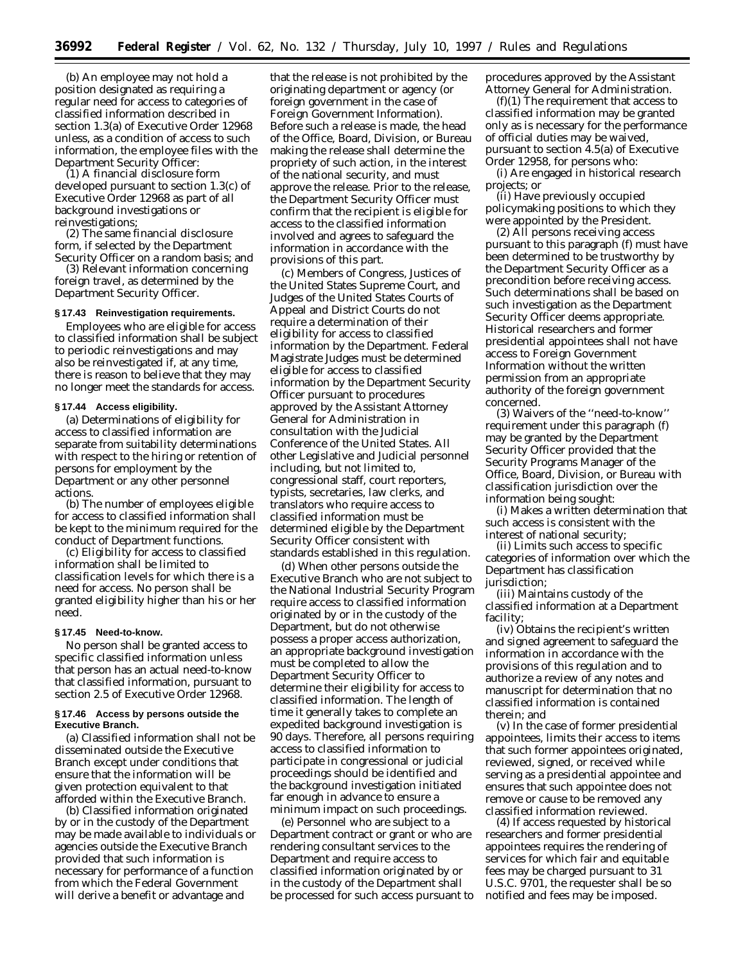(b) An employee may not hold a position designated as requiring a regular need for access to categories of classified information described in section 1.3(a) of Executive Order 12968 unless, as a condition of access to such information, the employee files with the Department Security Officer:

(1) A financial disclosure form developed pursuant to section 1.3(c) of Executive Order 12968 as part of all background investigations or reinvestigations;

(2) The same financial disclosure form, if selected by the Department Security Officer on a random basis; and

(3) Relevant information concerning foreign travel, as determined by the Department Security Officer.

### **§ 17.43 Reinvestigation requirements.**

Employees who are eligible for access to classified information shall be subject to periodic reinvestigations and may also be reinvestigated if, at any time, there is reason to believe that they may no longer meet the standards for access.

## **§ 17.44 Access eligibility.**

(a) Determinations of eligibility for access to classified information are separate from suitability determinations with respect to the hiring or retention of persons for employment by the Department or any other personnel actions.

(b) The number of employees eligible for access to classified information shall be kept to the minimum required for the conduct of Department functions.

(c) Eligibility for access to classified information shall be limited to classification levels for which there is a need for access. No person shall be granted eligibility higher than his or her need.

### **§ 17.45 Need-to-know.**

No person shall be granted access to specific classified information unless that person has an actual need-to-know that classified information, pursuant to section 2.5 of Executive Order 12968.

## **§ 17.46 Access by persons outside the Executive Branch.**

(a) Classified information shall not be disseminated outside the Executive Branch except under conditions that ensure that the information will be given protection equivalent to that afforded within the Executive Branch.

(b) Classified information originated by or in the custody of the Department may be made available to individuals or agencies outside the Executive Branch provided that such information is necessary for performance of a function from which the Federal Government will derive a benefit or advantage and

that the release is not prohibited by the originating department or agency (or foreign government in the case of Foreign Government Information). Before such a release is made, the head of the Office, Board, Division, or Bureau making the release shall determine the propriety of such action, in the interest of the national security, and must approve the release. Prior to the release, the Department Security Officer must confirm that the recipient is eligible for access to the classified information involved and agrees to safeguard the information in accordance with the provisions of this part.

(c) Members of Congress, Justices of the United States Supreme Court, and Judges of the United States Courts of Appeal and District Courts do not require a determination of their eligibility for access to classified information by the Department. Federal Magistrate Judges must be determined eligible for access to classified information by the Department Security Officer pursuant to procedures approved by the Assistant Attorney General for Administration in consultation with the Judicial Conference of the United States. All other Legislative and Judicial personnel including, but not limited to, congressional staff, court reporters, typists, secretaries, law clerks, and translators who require access to classified information must be determined eligible by the Department Security Officer consistent with standards established in this regulation.

(d) When other persons outside the Executive Branch who are not subject to the National Industrial Security Program require access to classified information originated by or in the custody of the Department, but do not otherwise possess a proper access authorization, an appropriate background investigation must be completed to allow the Department Security Officer to determine their eligibility for access to classified information. The length of time it generally takes to complete an expedited background investigation is 90 days. Therefore, all persons requiring access to classified information to participate in congressional or judicial proceedings should be identified and the background investigation initiated far enough in advance to ensure a minimum impact on such proceedings.

(e) Personnel who are subject to a Department contract or grant or who are rendering consultant services to the Department and require access to classified information originated by or in the custody of the Department shall be processed for such access pursuant to procedures approved by the Assistant Attorney General for Administration.

 $(f)(1)$  The requirement that access to classified information may be granted only as is necessary for the performance of official duties may be waived, pursuant to section 4.5(a) of Executive Order 12958, for persons who:

(i) Are engaged in historical research projects; or

(ii) Have previously occupied policymaking positions to which they were appointed by the President.

(2) All persons receiving access pursuant to this paragraph (f) must have been determined to be trustworthy by the Department Security Officer as a precondition before receiving access. Such determinations shall be based on such investigation as the Department Security Officer deems appropriate. Historical researchers and former presidential appointees shall not have access to Foreign Government Information without the written permission from an appropriate authority of the foreign government concerned.

(3) Waivers of the ''need-to-know'' requirement under this paragraph (f) may be granted by the Department Security Officer provided that the Security Programs Manager of the Office, Board, Division, or Bureau with classification jurisdiction over the information being sought:

(i) Makes a written determination that such access is consistent with the interest of national security;

(ii) Limits such access to specific categories of information over which the Department has classification jurisdiction;

(iii) Maintains custody of the classified information at a Department facility;

(iv) Obtains the recipient's written and signed agreement to safeguard the information in accordance with the provisions of this regulation and to authorize a review of any notes and manuscript for determination that no classified information is contained therein; and

(v) In the case of former presidential appointees, limits their access to items that such former appointees originated, reviewed, signed, or received while serving as a presidential appointee and ensures that such appointee does not remove or cause to be removed any classified information reviewed.

(4) If access requested by historical researchers and former presidential appointees requires the rendering of services for which fair and equitable fees may be charged pursuant to 31 U.S.C. 9701, the requester shall be so notified and fees may be imposed.